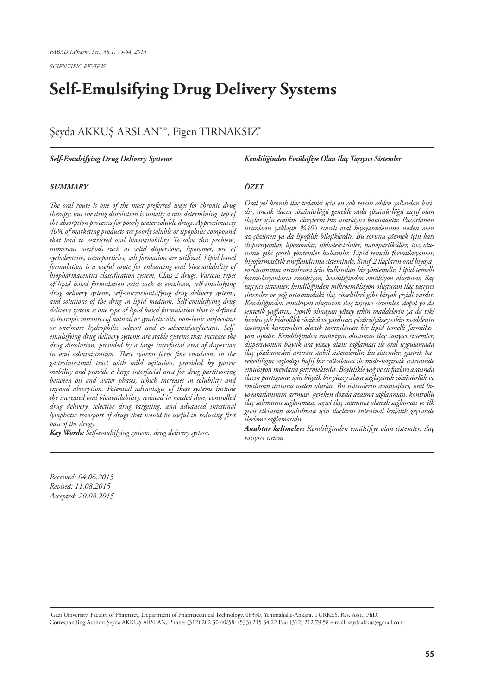# **Self-Emulsifying Drug Delivery Systems**

# Şeyda AKKUŞ ARSLAN<sup>\*,</sup>°, Figen TIRNAKSIZ<sup>\*</sup>

#### *Self-Emulsifying Drug Delivery Systems*

*Kendiliğinden Emülsifiye Olan İlaç Taşıyıcı Sistemler*

#### *SUMMARY*

*The oral route is one of the most preferred ways for chronic drug therapy; but the drug dissolution is usually a rate determining step of the absorption processes for poorly water soluble drugs. Approximately 40% of marketing products are poorly soluble or lipophilic compound that lead to restricted oral bioavailability. To solve this problem, numerous methods such as solid dispersions, liposomes, use of cyclodextrins, nanoparticles, salt formation are utilized. Lipid based formulation is a useful route for enhancing oral bioavailability of biopharmaceutics classification system, Class-2 drugs. Various types of lipid based formulation exist such as emulsion, self-emulsifying drug delivery systems, self-microemulsifying drug delivery systems, and solutions of the drug in lipid medium. Self-emulsifying drug delivery system is one type of lipid based formulation that is defined as isotropic mixtures of natural or synthetic oils, non-ionic surfactants or one/more hydrophilic solvent and co-solvents/surfactant. Selfemulsifying drug delivery systems are stable systems that increase the drug dissolution, provided by a large interfacial area of dispersion in oral administration. These systems form fine emulsions in the gastrointestinal tract with mild agitation, provided by gastric mobility and provide a large interfacial area for drug partitioning between oil and water phases, which increases in solubility and expand absorption. Potential advantages of these systems include the increased oral bioavailability, reduced in needed dose, controlled drug delivery, selective drug targeting, and advanced intestinal lymphatic transport of drugs that would be useful in reducing first pass of the drugs.* 

*Key Words: Self-emulsifying systems, drug delivery system.*

# *ÖZET*

*Oral yol kronik ilaç tedavisi için en çok tercih edilen yollardan biridir; ancak ilacın çözünürlüğü genelde suda çözünürlüğü zayıf olan ilaçlar için emilim süreçlerin hız sınırlayıcı basamaktır. Pazarlanan ürünlerin yaklaşık %40'ı sınırlı oral biyoyararlanıma neden olan az çözünen ya da lipofilik bileşiklerdir. Bu sorunu çözmek için katı dispersiyonlar, lipozomlar, siklodekstrinler, nanopartiküller, tuz oluşumu gibi çeşitli yöntemler kullanılır. Lipid temelli formülasyonlar, biyofarmasötik sınıflandırma sisteminde, Sınıf-2 ilaçların oral biyoyararlanımının artırılması için kullanılan bir yöntemdir. Lipid temelli formülasyonların emülsiyon, kendiliğinden emülsiyon oluşturan ilaç taşıyıcı sistemler, kendiliğinden mikroemülsiyon oluşturan ilaç taşıyıcı sistemler ve yağ ortamındaki ilaç çözeltileri gibi birçok çeşidi vardır. Kendiliğinden emülsiyon oluşturan ilaç taşıyıcı sistemler, doğal ya da sentetik yağların, iyonik olmayan yüzey etkin maddelerin ya da tek/ birden çok hidrofilik çözücü ve yardımcı çözücü/yüzey etkin maddenin izotropik karışımları olarak tanımlanan bir lipid temelli formülasyon tipidir. Kendiliğinden emülsiyon oluşturan ilaç taşıyıcı sistemler, dispersiyonun büyük ara yüzey alanı sağlaması ile oral uygulamada ilaç çözünmesini artıran stabil sistemlerdir. Bu sistemler, gastrik hareketliliğin sağladığı hafif bir çalkalama ile mide-bağırsak sisteminde emülsiyon meydana getirmektedir. Böylelikle yağ ve su fazları arasında ilacın partisyonu için büyük bir yüzey alanı sağlayarak çözünürlük ve emilimin artışına neden olurlar. Bu sistemlerin avantajları, oral biyoyararlanımın artması, gereken dozda azalma sağlanması, kontrollü ilaç salımının sağlanması, seçici ilaç salımına olanak sağlaması ve ilk geçiş etkisinin azaltılması için ilaçların intestinal lenfatik geçişinde ilerleme sağlamasıdır.*

*Anahtar kelimeler: Kendiliğinden emülsifiye olan sistemler, ilaç taşıyıcı sistem.*

*Received: 04.06.2015 Revised: 11.08.2015 Accepted: 20.08.2015*

\* Gazi University, Faculty of Pharmacy, Department of Pharmaceutical Technology, 06330, Yenimahalle-Ankara, TURKEY, Res. Asst., PhD. Corresponding Author: Şeyda AKKUŞ ARSLAN, Phone: (312) 202 30 40/58- (533) 215 34 22 Fax: (312) 212 79 58 e-mail: seydaakkus@gmail.com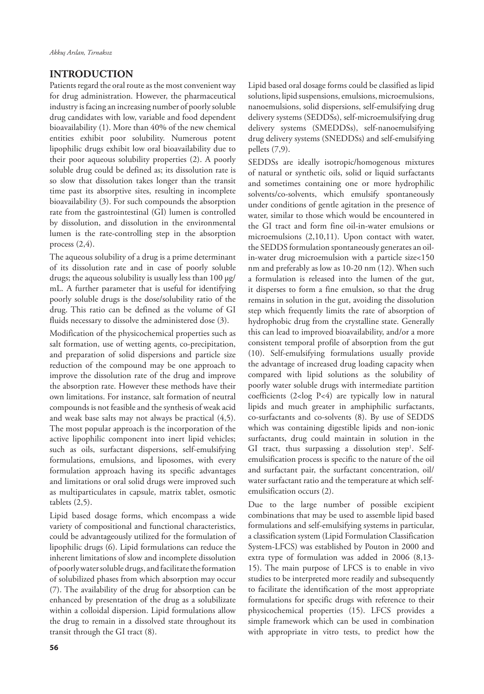### **INTRODUCTION**

Patients regard the oral route as the most convenient way for drug administration. However, the pharmaceutical industry is facing an increasing number of poorly soluble drug candidates with low, variable and food dependent bioavailability (1). More than 40% of the new chemical entities exhibit poor solubility. Numerous potent lipophilic drugs exhibit low oral bioavailability due to their poor aqueous solubility properties (2). A poorly soluble drug could be defined as; its dissolution rate is so slow that dissolution takes longer than the transit time past its absorptive sites, resulting in incomplete bioavailability (3). For such compounds the absorption rate from the gastrointestinal (GI) lumen is controlled by dissolution, and dissolution in the environmental lumen is the rate-controlling step in the absorption process  $(2,4)$ .

The aqueous solubility of a drug is a prime determinant of its dissolution rate and in case of poorly soluble drugs; the aqueous solubility is usually less than 100 µg/ mL. A further parameter that is useful for identifying poorly soluble drugs is the dose/solubility ratio of the drug. This ratio can be defined as the volume of GI fluids necessary to dissolve the administered dose (3).

Modification of the physicochemical properties such as salt formation, use of wetting agents, co-precipitation, and preparation of solid dispersions and particle size reduction of the compound may be one approach to improve the dissolution rate of the drug and improve the absorption rate. However these methods have their own limitations. For instance, salt formation of neutral compounds is not feasible and the synthesis of weak acid and weak base salts may not always be practical (4,5). The most popular approach is the incorporation of the active lipophilic component into inert lipid vehicles; such as oils, surfactant dispersions, self-emulsifying formulations, emulsions, and liposomes, with every formulation approach having its specific advantages and limitations or oral solid drugs were improved such as multiparticulates in capsule, matrix tablet, osmotic tablets (2,5).

Lipid based dosage forms, which encompass a wide variety of compositional and functional characteristics, could be advantageously utilized for the formulation of lipophilic drugs (6). Lipid formulations can reduce the inherent limitations of slow and incomplete dissolution of poorly water soluble drugs, and facilitate the formation of solubilized phases from which absorption may occur (7). The availability of the drug for absorption can be enhanced by presentation of the drug as a solubilizate within a colloidal dispersion. Lipid formulations allow the drug to remain in a dissolved state throughout its transit through the GI tract (8).

Lipid based oral dosage forms could be classified as lipid solutions, lipid suspensions, emulsions, microemulsions, nanoemulsions, solid dispersions, self-emulsifying drug delivery systems (SEDDSs), self-microemulsifying drug delivery systems (SMEDDSs), self-nanoemulsifying drug delivery systems (SNEDDSs) and self-emulsifying pellets (7,9).

SEDDSs are ideally isotropic/homogenous mixtures of natural or synthetic oils, solid or liquid surfactants and sometimes containing one or more hydrophilic solvents/co-solvents, which emulsify spontaneously under conditions of gentle agitation in the presence of water, similar to those which would be encountered in the GI tract and form fine oil-in-water emulsions or microemulsions (2,10,11). Upon contact with water, the SEDDS formulation spontaneously generates an oilin-water drug microemulsion with a particle size<150 nm and preferably as low as 10-20 nm (12). When such a formulation is released into the lumen of the gut, it disperses to form a fine emulsion, so that the drug remains in solution in the gut, avoiding the dissolution step which frequently limits the rate of absorption of hydrophobic drug from the crystalline state. Generally this can lead to improved bioavailability, and/or a more consistent temporal profile of absorption from the gut (10). Self-emulsifying formulations usually provide the advantage of increased drug loading capacity when compared with lipid solutions as the solubility of poorly water soluble drugs with intermediate partition coefficients (2<log P<4) are typically low in natural lipids and much greater in amphiphilic surfactants, co-surfactants and co-solvents (8). By use of SEDDS which was containing digestible lipids and non-ionic surfactants, drug could maintain in solution in the GI tract, thus surpassing a dissolution step<sup>1</sup>. Selfemulsification process is specific to the nature of the oil and surfactant pair, the surfactant concentration, oil/ water surfactant ratio and the temperature at which selfemulsification occurs (2).

Due to the large number of possible excipient combinations that may be used to assemble lipid based formulations and self-emulsifying systems in particular, a classification system (Lipid Formulation Classification System-LFCS) was established by Pouton in 2000 and extra type of formulation was added in 2006 (8,13- 15). The main purpose of LFCS is to enable in vivo studies to be interpreted more readily and subsequently to facilitate the identification of the most appropriate formulations for specific drugs with reference to their physicochemical properties (15). LFCS provides a simple framework which can be used in combination with appropriate in vitro tests, to predict how the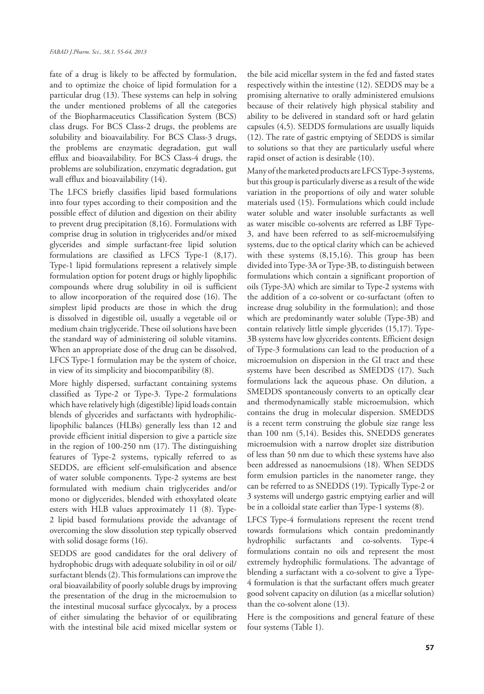fate of a drug is likely to be affected by formulation, and to optimize the choice of lipid formulation for a particular drug (13). These systems can help in solving the under mentioned problems of all the categories of the Biopharmaceutics Classification System (BCS) class drugs. For BCS Class-2 drugs, the problems are solubility and bioavailability. For BCS Class-3 drugs, the problems are enzymatic degradation, gut wall efflux and bioavailability. For BCS Class-4 drugs, the problems are solubilization, enzymatic degradation, gut wall efflux and bioavailability (14).

The LFCS briefly classifies lipid based formulations into four types according to their composition and the possible effect of dilution and digestion on their ability to prevent drug precipitation (8,16). Formulations with comprise drug in solution in triglycerides and/or mixed glycerides and simple surfactant-free lipid solution formulations are classified as LFCS Type-1 (8,17). Type-1 lipid formulations represent a relatively simple formulation option for potent drugs or highly lipophilic compounds where drug solubility in oil is sufficient to allow incorporation of the required dose (16). The simplest lipid products are those in which the drug is dissolved in digestible oil, usually a vegetable oil or medium chain triglyceride. These oil solutions have been the standard way of administering oil soluble vitamins. When an appropriate dose of the drug can be dissolved, LFCS Type-1 formulation may be the system of choice, in view of its simplicity and biocompatibility (8).

More highly dispersed, surfactant containing systems classified as Type-2 or Type-3. Type-2 formulations which have relatively high (digestible) lipid loads contain blends of glycerides and surfactants with hydrophiliclipophilic balances (HLBs) generally less than 12 and provide efficient initial dispersion to give a particle size in the region of 100-250 nm (17). The distinguishing features of Type-2 systems, typically referred to as SEDDS, are efficient self-emulsification and absence of water soluble components. Type-2 systems are best formulated with medium chain triglycerides and/or mono or diglycerides, blended with ethoxylated oleate esters with HLB values approximately 11 (8). Type-2 lipid based formulations provide the advantage of overcoming the slow dissolution step typically observed with solid dosage forms (16).

SEDDS are good candidates for the oral delivery of hydrophobic drugs with adequate solubility in oil or oil/ surfactant blends (2). This formulations can improve the oral bioavailability of poorly soluble drugs by improving the presentation of the drug in the microemulsion to the intestinal mucosal surface glycocalyx, by a process of either simulating the behavior of or equilibrating with the intestinal bile acid mixed micellar system or

the bile acid micellar system in the fed and fasted states respectively within the intestine (12). SEDDS may be a promising alternative to orally administered emulsions because of their relatively high physical stability and ability to be delivered in standard soft or hard gelatin capsules (4,5). SEDDS formulations are usually liquids (12). The rate of gastric emptying of SEDDS is similar to solutions so that they are particularly useful where rapid onset of action is desirable (10).

Many of the marketed products are LFCS Type-3 systems, but this group is particularly diverse as a result of the wide variation in the proportions of oily and water soluble materials used (15). Formulations which could include water soluble and water insoluble surfactants as well as water miscible co-solvents are referred as LBF Type-3, and have been referred to as self-microemulsifying systems, due to the optical clarity which can be achieved with these systems (8,15,16). This group has been divided into Type-3A or Type-3B, to distinguish between formulations which contain a significant proportion of oils (Type-3A) which are similar to Type-2 systems with the addition of a co-solvent or co-surfactant (often to increase drug solubility in the formulation); and those which are predominantly water soluble (Type-3B) and contain relatively little simple glycerides (15,17). Type-3B systems have low glycerides contents. Efficient design of Type-3 formulations can lead to the production of a microemulsion on dispersion in the GI tract and these systems have been described as SMEDDS (17). Such formulations lack the aqueous phase. On dilution, a SMEDDS spontaneously converts to an optically clear and thermodynamically stable microemulsion, which contains the drug in molecular dispersion. SMEDDS is a recent term construing the globule size range less than 100 nm (5,14). Besides this, SNEDDS generates microemulsion with a narrow droplet size distribution of less than 50 nm due to which these systems have also been addressed as nanoemulsions (18). When SEDDS form emulsion particles in the nanometer range, they can be referred to as SNEDDS (19). Typically Type-2 or 3 systems will undergo gastric emptying earlier and will be in a colloidal state earlier than Type-1 systems (8).

LFCS Type-4 formulations represent the recent trend towards formulations which contain predominantly hydrophilic surfactants and co-solvents. Type-4 formulations contain no oils and represent the most extremely hydrophilic formulations. The advantage of blending a surfactant with a co-solvent to give a Type-4 formulation is that the surfactant offers much greater good solvent capacity on dilution (as a micellar solution) than the co-solvent alone (13).

Here is the compositions and general feature of these four systems (Table 1).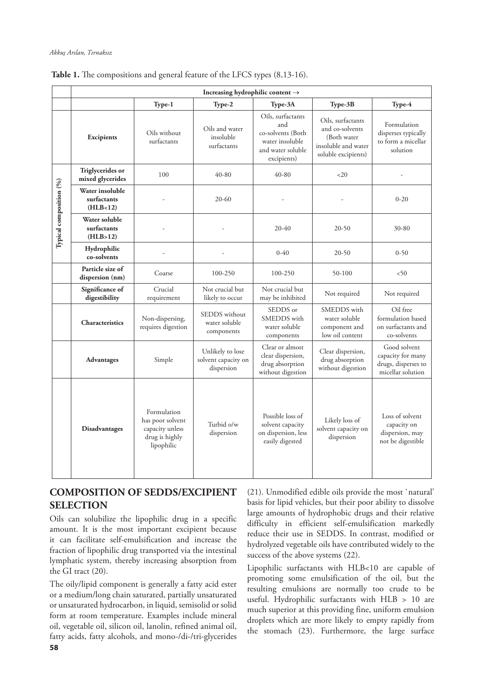|                         | Increasing hydrophilic content $\rightarrow$    |                                                                                    |                                                       |                                                                                                      |                                                                                                   |                                                                               |  |
|-------------------------|-------------------------------------------------|------------------------------------------------------------------------------------|-------------------------------------------------------|------------------------------------------------------------------------------------------------------|---------------------------------------------------------------------------------------------------|-------------------------------------------------------------------------------|--|
|                         |                                                 | Type-1                                                                             | Type-2                                                | Type-3A                                                                                              | Type-3B                                                                                           | Type-4                                                                        |  |
|                         | Excipients                                      | Oils without<br>surfactants                                                        | Oils and water<br>insoluble<br>surfactants            | Oils, surfactants<br>and<br>co-solvents (Both<br>water insoluble<br>and water soluble<br>excipients) | Oils, surfactants<br>and co-solvents<br>(Both water<br>insoluble and water<br>soluble excipients) | Formulation<br>disperses typically<br>to form a micellar<br>solution          |  |
| Typical composition (%) | Triglycerides or<br>mixed glycerides            | 100                                                                                | 40-80                                                 | 40-80                                                                                                | <20                                                                                               |                                                                               |  |
|                         | Water insoluble<br>surfactants<br>(HLB<12)      |                                                                                    | $20 - 60$                                             |                                                                                                      |                                                                                                   | $0 - 20$                                                                      |  |
|                         | <b>Water soluble</b><br>surfactants<br>(HLB>12) |                                                                                    |                                                       | $20 - 40$                                                                                            | $20 - 50$                                                                                         | 30-80                                                                         |  |
|                         | Hydrophilic<br>co-solvents                      |                                                                                    |                                                       | $0 - 40$                                                                                             | $20 - 50$                                                                                         | $0 - 50$                                                                      |  |
|                         | Particle size of<br>dispersion (nm)             | Coarse                                                                             | 100-250                                               | 100-250                                                                                              | 50-100                                                                                            | < 50                                                                          |  |
|                         | Significance of<br>digestibility                | Crucial<br>requirement                                                             | Not crucial but<br>likely to occur                    | Not crucial but<br>may be inhibited                                                                  | Not required                                                                                      | Not required                                                                  |  |
|                         | Characteristics                                 | Non-dispersing,<br>requires digestion                                              | <b>SEDDS</b> without<br>water soluble<br>components   | SEDDS or<br>SMEDDS with<br>water soluble<br>components                                               | SMEDDS with<br>water soluble<br>component and<br>low oil content                                  | Oil free<br>formulation based<br>on surfactants and<br>co-solvents            |  |
|                         | Advantages                                      | Simple                                                                             | Unlikely to lose<br>solvent capacity on<br>dispersion | Clear or almost<br>clear dispersion,<br>drug absorption<br>without digestion                         | Clear dispersion,<br>drug absorption<br>without digestion                                         | Good solvent<br>capacity for many<br>drugs, disperses to<br>micellar solution |  |
|                         | <b>Disadvantages</b>                            | Formulation<br>has poor solvent<br>capacity unless<br>drug is highly<br>lipophilic | Turbid o/w<br>dispersion                              | Possible loss of<br>solvent capacity<br>on dispersion, less<br>easily digested                       | Likely loss of<br>solvent capacity on<br>dispersion                                               | Loss of solvent<br>capacity on<br>dispersion, may<br>not be digestible        |  |

Table 1. The compositions and general feature of the LFCS types  $(8,13-16)$ .

# **COMPOSITION OF SEDDS/EXCIPIENT SELECTION**

Oils can solubilize the lipophilic drug in a specific amount. It is the most important excipient because it can facilitate self-emulsification and increase the fraction of lipophilic drug transported via the intestinal lymphatic system, thereby increasing absorption from the GI tract (20).

**58** The oily/lipid component is generally a fatty acid ester or a medium/long chain saturated, partially unsaturated or unsaturated hydrocarbon, in liquid, semisolid or solid form at room temperature. Examples include mineral oil, vegetable oil, silicon oil, lanolin, refined animal oil, fatty acids, fatty alcohols, and mono-/di-/tri-glycerides

(21). Unmodified edible oils provide the most `natural' basis for lipid vehicles, but their poor ability to dissolve large amounts of hydrophobic drugs and their relative difficulty in efficient self-emulsification markedly reduce their use in SEDDS. In contrast, modified or hydrolyzed vegetable oils have contributed widely to the success of the above systems (22).

Lipophilic surfactants with HLB<10 are capable of promoting some emulsification of the oil, but the resulting emulsions are normally too crude to be useful. Hydrophilic surfactants with HLB > 10 are much superior at this providing fine, uniform emulsion droplets which are more likely to empty rapidly from the stomach (23). Furthermore, the large surface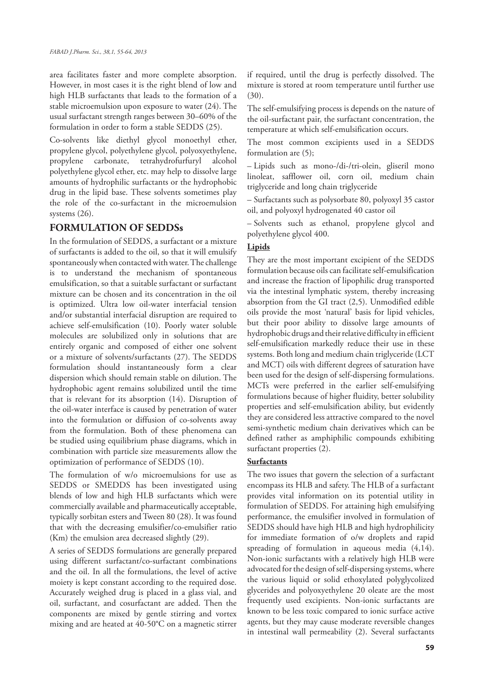area facilitates faster and more complete absorption. However, in most cases it is the right blend of low and high HLB surfactants that leads to the formation of a stable microemulsion upon exposure to water (24). The usual surfactant strength ranges between 30–60% of the formulation in order to form a stable SEDDS (25).

Co-solvents like diethyl glycol monoethyl ether, propylene glycol, polyethylene glycol, polyoxyethylene, propylene carbonate, tetrahydrofurfuryl alcohol polyethylene glycol ether, etc. may help to dissolve large amounts of hydrophilic surfactants or the hydrophobic drug in the lipid base. These solvents sometimes play the role of the co-surfactant in the microemulsion systems (26).

# **FORMULATION OF SEDDSs**

In the formulation of SEDDS, a surfactant or a mixture of surfactants is added to the oil, so that it will emulsify spontaneously when contacted with water. The challenge is to understand the mechanism of spontaneous emulsification, so that a suitable surfactant or surfactant mixture can be chosen and its concentration in the oil is optimized. Ultra low oil-water interfacial tension and/or substantial interfacial disruption are required to achieve self-emulsification (10). Poorly water soluble molecules are solubilized only in solutions that are entirely organic and composed of either one solvent or a mixture of solvents/surfactants (27). The SEDDS formulation should instantaneously form a clear dispersion which should remain stable on dilution. The hydrophobic agent remains solubilized until the time that is relevant for its absorption (14). Disruption of the oil-water interface is caused by penetration of water into the formulation or diffusion of co-solvents away from the formulation. Both of these phenomena can be studied using equilibrium phase diagrams, which in combination with particle size measurements allow the optimization of performance of SEDDS (10).

The formulation of w/o microemulsions for use as SEDDS or SMEDDS has been investigated using blends of low and high HLB surfactants which were commercially available and pharmaceutically acceptable, typically sorbitan esters and Tween 80 (28). It was found that with the decreasing emulsifier/co-emulsifier ratio (Km) the emulsion area decreased slightly (29).

A series of SEDDS formulations are generally prepared using different surfactant/co-surfactant combinations and the oil. In all the formulations, the level of active moiety is kept constant according to the required dose. Accurately weighed drug is placed in a glass vial, and oil, surfactant, and cosurfactant are added. Then the components are mixed by gentle stirring and vortex mixing and are heated at 40-50°C on a magnetic stirrer if required, until the drug is perfectly dissolved. The mixture is stored at room temperature until further use (30).

The self-emulsifying process is depends on the nature of the oil-surfactant pair, the surfactant concentration, the temperature at which self-emulsification occurs.

The most common excipients used in a SEDDS formulation are (5);

– Lipids such as mono-/di-/tri-olein, gliseril mono linoleat, safflower oil, corn oil, medium chain triglyceride and long chain triglyceride

– Surfactants such as polysorbate 80, polyoxyl 35 castor oil, and polyoxyl hydrogenated 40 castor oil

– Solvents such as ethanol, propylene glycol and polyethylene glycol 400.

# **Lipids**

They are the most important excipient of the SEDDS formulation because oils can facilitate self-emulsification and increase the fraction of lipophilic drug transported via the intestinal lymphatic system, thereby increasing absorption from the GI tract (2,5). Unmodified edible oils provide the most 'natural' basis for lipid vehicles, but their poor ability to dissolve large amounts of hydrophobic drugs and their relative difficulty in efficient self-emulsification markedly reduce their use in these systems. Both long and medium chain triglyceride (LCT and MCT) oils with different degrees of saturation have been used for the design of self-dispersing formulations. MCTs were preferred in the earlier self-emulsifying formulations because of higher fluidity, better solubility properties and self-emulsification ability, but evidently they are considered less attractive compared to the novel semi-synthetic medium chain derivatives which can be defined rather as amphiphilic compounds exhibiting surfactant properties (2).

# **Surfactants**

The two issues that govern the selection of a surfactant encompass its HLB and safety. The HLB of a surfactant provides vital information on its potential utility in formulation of SEDDS. For attaining high emulsifying performance, the emulsifier involved in formulation of SEDDS should have high HLB and high hydrophilicity for immediate formation of o/w droplets and rapid spreading of formulation in aqueous media (4,14). Non-ionic surfactants with a relatively high HLB were advocated for the design of self-dispersing systems, where the various liquid or solid ethoxylated polyglycolized glycerides and polyoxyethylene 20 oleate are the most frequently used excipients. Non-ionic surfactants are known to be less toxic compared to ionic surface active agents, but they may cause moderate reversible changes in intestinal wall permeability (2). Several surfactants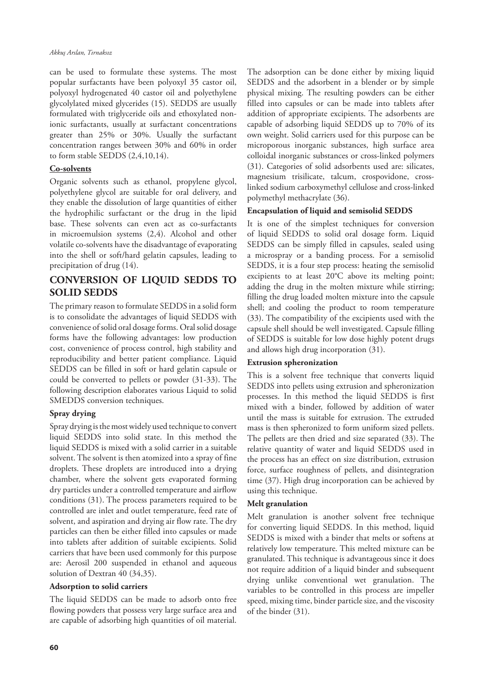can be used to formulate these systems. The most popular surfactants have been polyoxyl 35 castor oil, polyoxyl hydrogenated 40 castor oil and polyethylene glycolylated mixed glycerides (15). SEDDS are usually formulated with triglyceride oils and ethoxylated nonionic surfactants, usually at surfactant concentrations greater than 25% or 30%. Usually the surfactant concentration ranges between 30% and 60% in order to form stable SEDDS (2,4,10,14).

#### **Co-solvents**

Organic solvents such as ethanol, propylene glycol, polyethylene glycol are suitable for oral delivery, and they enable the dissolution of large quantities of either the hydrophilic surfactant or the drug in the lipid base. These solvents can even act as co-surfactants in microemulsion systems (2,4). Alcohol and other volatile co-solvents have the disadvantage of evaporating into the shell or soft/hard gelatin capsules, leading to precipitation of drug (14).

# **CONVERSION OF LIQUID SEDDS TO SOLID SEDDS**

The primary reason to formulate SEDDS in a solid form is to consolidate the advantages of liquid SEDDS with convenience of solid oral dosage forms. Oral solid dosage forms have the following advantages: low production cost, convenience of process control, high stability and reproducibility and better patient compliance. Liquid SEDDS can be filled in soft or hard gelatin capsule or could be converted to pellets or powder (31-33). The following description elaborates various Liquid to solid SMEDDS conversion techniques.

#### **Spray drying**

Spray drying is the most widely used technique to convert liquid SEDDS into solid state. In this method the liquid SEDDS is mixed with a solid carrier in a suitable solvent. The solvent is then atomized into a spray of fine droplets. These droplets are introduced into a drying chamber, where the solvent gets evaporated forming dry particles under a controlled temperature and airflow conditions (31). The process parameters required to be controlled are inlet and outlet temperature, feed rate of solvent, and aspiration and drying air flow rate. The dry particles can then be either filled into capsules or made into tablets after addition of suitable excipients. Solid carriers that have been used commonly for this purpose are: Aerosil 200 suspended in ethanol and aqueous solution of Dextran 40 (34,35).

#### **Adsorption to solid carriers**

The liquid SEDDS can be made to adsorb onto free flowing powders that possess very large surface area and are capable of adsorbing high quantities of oil material.

The adsorption can be done either by mixing liquid SEDDS and the adsorbent in a blender or by simple physical mixing. The resulting powders can be either filled into capsules or can be made into tablets after addition of appropriate excipients. The adsorbents are capable of adsorbing liquid SEDDS up to 70% of its own weight. Solid carriers used for this purpose can be microporous inorganic substances, high surface area colloidal inorganic substances or cross-linked polymers (31). Categories of solid adsorbents used are: silicates, magnesium trisilicate, talcum, crospovidone, crosslinked sodium carboxymethyl cellulose and cross-linked polymethyl methacrylate (36).

#### **Encapsulation of liquid and semisolid SEDDS**

It is one of the simplest techniques for conversion of liquid SEDDS to solid oral dosage form. Liquid SEDDS can be simply filled in capsules, sealed using a microspray or a banding process. For a semisolid SEDDS, it is a four step process: heating the semisolid excipients to at least 20°C above its melting point; adding the drug in the molten mixture while stirring; filling the drug loaded molten mixture into the capsule shell; and cooling the product to room temperature (33). The compatibility of the excipients used with the capsule shell should be well investigated. Capsule filling of SEDDS is suitable for low dose highly potent drugs and allows high drug incorporation (31).

#### **Extrusion spheronization**

This is a solvent free technique that converts liquid SEDDS into pellets using extrusion and spheronization processes. In this method the liquid SEDDS is first mixed with a binder, followed by addition of water until the mass is suitable for extrusion. The extruded mass is then spheronized to form uniform sized pellets. The pellets are then dried and size separated (33). The relative quantity of water and liquid SEDDS used in the process has an effect on size distribution, extrusion force, surface roughness of pellets, and disintegration time (37). High drug incorporation can be achieved by using this technique.

#### **Melt granulation**

Melt granulation is another solvent free technique for converting liquid SEDDS. In this method, liquid SEDDS is mixed with a binder that melts or softens at relatively low temperature. This melted mixture can be granulated. This technique is advantageous since it does not require addition of a liquid binder and subsequent drying unlike conventional wet granulation. The variables to be controlled in this process are impeller speed, mixing time, binder particle size, and the viscosity of the binder (31).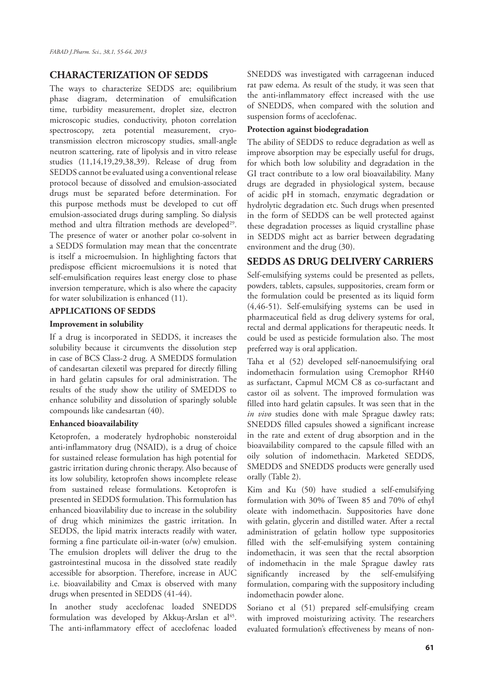# **CHARACTERIZATION OF SEDDS**

The ways to characterize SEDDS are; equilibrium phase diagram, determination of emulsification time, turbidity measurement, droplet size, electron microscopic studies, conductivity, photon correlation spectroscopy, zeta potential measurement, cryotransmission electron microscopy studies, small-angle neutron scattering, rate of lipolysis and in vitro release studies (11,14,19,29,38,39). Release of drug from SEDDS cannot be evaluated using a conventional release protocol because of dissolved and emulsion-associated drugs must be separated before determination. For this purpose methods must be developed to cut off emulsion-associated drugs during sampling. So dialysis method and ultra filtration methods are developed<sup>29</sup>. The presence of water or another polar co-solvent in a SEDDS formulation may mean that the concentrate is itself a microemulsion. In highlighting factors that predispose efficient microemulsions it is noted that self-emulsification requires least energy close to phase inversion temperature, which is also where the capacity for water solubilization is enhanced (11).

#### **APPLICATIONS OF SEDDS**

#### **Improvement in solubility**

If a drug is incorporated in SEDDS, it increases the solubility because it circumvents the dissolution step in case of BCS Class-2 drug. A SMEDDS formulation of candesartan cilexetil was prepared for directly filling in hard gelatin capsules for oral administration. The results of the study show the utility of SMEDDS to enhance solubility and dissolution of sparingly soluble compounds like candesartan (40).

#### **Enhanced bioavailability**

Ketoprofen, a moderately hydrophobic nonsteroidal anti-inflammatory drug (NSAID), is a drug of choice for sustained release formulation has high potential for gastric irritation during chronic therapy. Also because of its low solubility, ketoprofen shows incomplete release from sustained release formulations. Ketoprofen is presented in SEDDS formulation. This formulation has enhanced bioavilability due to increase in the solubility of drug which minimizes the gastric irritation. In SEDDS, the lipid matrix interacts readily with water, forming a fine particulate oil-in-water (o/w) emulsion. The emulsion droplets will deliver the drug to the gastrointestinal mucosa in the dissolved state readily accessible for absorption. Therefore, increase in AUC i.e. bioavailability and Cmax is observed with many drugs when presented in SEDDS (41-44).

In another study aceclofenac loaded SNEDDS formulation was developed by Akkus-Arslan et  $al^{45}$ . The anti-inflammatory effect of aceclofenac loaded SNEDDS was investigated with carrageenan induced rat paw edema. As result of the study, it was seen that the anti-inflammatory effect increased with the use of SNEDDS, when compared with the solution and suspension forms of aceclofenac.

#### **Protection against biodegradation**

The ability of SEDDS to reduce degradation as well as improve absorption may be especially useful for drugs, for which both low solubility and degradation in the GI tract contribute to a low oral bioavailability. Many drugs are degraded in physiological system, because of acidic pH in stomach, enzymatic degradation or hydrolytic degradation etc. Such drugs when presented in the form of SEDDS can be well protected against these degradation processes as liquid crystalline phase in SEDDS might act as barrier between degradating environment and the drug (30).

### **SEDDS AS DRUG DELIVERY CARRIERS**

Self-emulsifying systems could be presented as pellets, powders, tablets, capsules, suppositories, cream form or the formulation could be presented as its liquid form (4,46-51). Self-emulsifying systems can be used in pharmaceutical field as drug delivery systems for oral, rectal and dermal applications for therapeutic needs. It could be used as pesticide formulation also. The most preferred way is oral application.

Taha et al (52) developed self-nanoemulsifying oral indomethacin formulation using Cremophor RH40 as surfactant, Capmul MCM C8 as co-surfactant and castor oil as solvent. The improved formulation was filled into hard gelatin capsules. It was seen that in the *in vivo* studies done with male Sprague dawley rats; SNEDDS filled capsules showed a significant increase in the rate and extent of drug absorption and in the bioavailability compared to the capsule filled with an oily solution of indomethacin. Marketed SEDDS, SMEDDS and SNEDDS products were generally used orally (Table 2).

Kim and Ku (50) have studied a self-emulsifying formulation with 30% of Tween 85 and 70% of ethyl oleate with indomethacin. Suppositories have done with gelatin, glycerin and distilled water. After a rectal administration of gelatin hollow type suppositories filled with the self-emulsifying system containing indomethacin, it was seen that the rectal absorption of indomethacin in the male Sprague dawley rats significantly increased by the self-emulsifying formulation, comparing with the suppository including indomethacin powder alone.

Soriano et al (51) prepared self-emulsifying cream with improved moisturizing activity. The researchers evaluated formulation's effectiveness by means of non-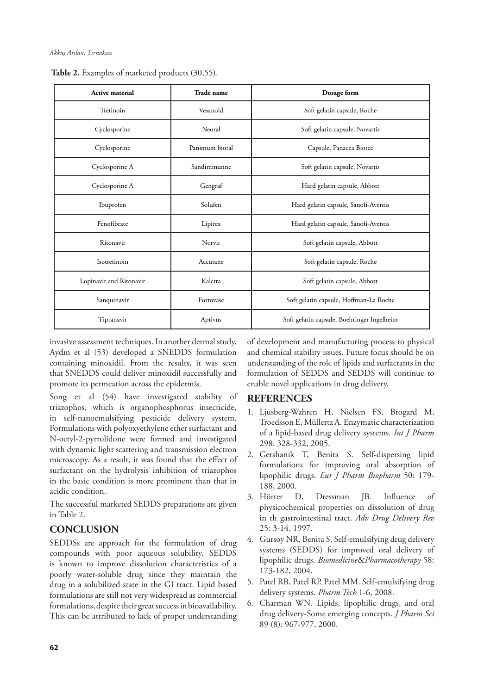| Active material         | Trade name     | Dosage form                                |  |
|-------------------------|----------------|--------------------------------------------|--|
| Tretinoin               | Vesanoid       | Soft gelatin capsule, Roche                |  |
| Cyclosporine            | Neoral         | Soft gelatin capsule, Novartis             |  |
| Cyclosporine            | Panimum bioral | Capsule, Panacea Biotec                    |  |
| Cyclosporine A          | Sandimmunne    | Soft gelatin capsule, Novartis             |  |
| Cyclosporine A          | Gengraf        | Hard gelatin capsule, Abbott               |  |
| Ibuprofen               | Solufen        | Hard gelatin capsule, Sanofi-Aventis       |  |
| Fenofibrate             | Lipirex        | Hard gelatin capsule, Sanofi-Aventis       |  |
| Ritonavir               | Norvir         | Soft gelatin capsule, Abbott               |  |
| Isotretinoin            | Accutane       | Soft gelatin capsule, Roche                |  |
| Lopinavir and Ritonavir | Kaletra        | Soft gelatin capsule, Abbott               |  |
| Sanquinavir             | Fortovase      | Soft gelatin capsule, Hoffman-La Roche     |  |
| Tipranavir              | Aptivus        | Soft gelatin capsule, Boehringer Ingelheim |  |

 **Table 2.** Examples of marketed products (30,55).

invasive assessment techniques. In another dermal study, Aydın et al (53) developed a SNEDDS formulation containing minoxidil. From the results, it was seen that SNEDDS could deliver minoxidil successfully and promote its permeation across the epidermis.

Song et al (54) have investigated stability of triazophos, which is organophosphorus insecticide, in self-nanoemulsifying pesticide delivery system. Formulations with polyoxyethylene ether surfactant and N-octyl-2-pyrrolidone were formed and investigated with dynamic light scattering and transmission electron microscopy. As a result, it was found that the effect of surfactant on the hydrolysis inhibition of triazophos in the basic condition is more prominent than that in acidic condition.

The successful marketed SEDDS preparations are given in Table 2.

# **CONCLUSION**

SEDDSs are approach for the formulation of drug compounds with poor aqueous solubility. SEDDS is known to improve dissolution characteristics of a poorly water-soluble drug since they maintain the drug in a solubilized state in the GI tract. Lipid based formulations are still not very widespread as commercial formulations, despite their great success in bioavailability. This can be attributed to lack of proper understanding of development and manufacturing process to physical and chemical stability issues. Future focus should be on understanding of the role of lipids and surfactants in the formulation of SEDDS and SEDDS will continue to enable novel applications in drug delivery.

# **REFERENCES**

- 1. Ljusberg-Wahren H, Nielsen FS, Brogard M, Troedsson E, Müllertz A. Enzymatic characterization of a lipid-based drug delivery systems. *Int J Pharm* 298: 328-332, 2005.
- 2. Gershanik T, Benita S. Self-dispersing lipid formulations for improving oral absorption of lipophilic drugs. *Eur J Pharm Biopharm* 50: 179- 188, 2000.
- 3. Hörter D, Dressman JB. Influence of physicochemical properties on dissolution of drug in th gastrointestinal tract. *Adv Drug Delivery Rev* 25: 3-14, 1997.
- 4. Gursoy NR, Benita S. Self-emulsifying drug delivery systems (SEDDS) for improved oral delivery of lipophilic drugs. *Biomedicine*&*Pharmacotherapy* 58: 173-182, 2004.
- 5. Patel RB, Patel RP, Patel MM. Self-emulsifying drug delivery systems. *Pharm Tech* 1-6, 2008.
- 6. Charman WN. Lipids, lipophilic drugs, and oral drug delivery-Some emerging concepts. *J Pharm Sci*  89 (8): 967-977, 2000.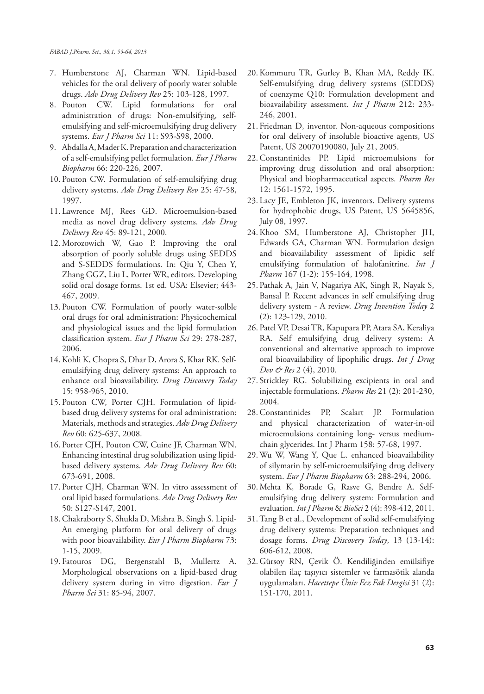- 7. Humberstone AJ, Charman WN. Lipid-based vehicles for the oral delivery of poorly water soluble drugs. *Adv Drug Delivery Rev* 25: 103-128, 1997.
- 8. Pouton CW. Lipid formulations for oral administration of drugs: Non-emulsifying, selfemulsifying and self-microemulsifying drug delivery systems. *Eur J Pharm Sci* 11: S93-S98, 2000.
- 9. Abdalla A, Mader K. Preparation and characterization of a self-emulsifying pellet formulation. *Eur J Pharm Biopharm* 66: 220-226, 2007.
- 10. Pouton CW. Formulation of self-emulsifying drug delivery systems. *Adv Drug Delivery Rev* 25: 47-58, 1997.
- 11. Lawrence MJ, Rees GD. Microemulsion-based media as novel drug delivery systems. *Adv Drug Delivery Rev* 45: 89-121, 2000.
- 12. Morozowich W, Gao P. Improving the oral absorption of poorly soluble drugs using SEDDS and S-SEDDS formulations. In: Qiu Y, Chen Y, Zhang GGZ, Liu L, Porter WR, editors. Developing solid oral dosage forms. 1st ed. USA: Elsevier; 443- 467, 2009.
- 13. Pouton CW. Formulation of poorly water-solble oral drugs for oral administration: Physicochemical and physiological issues and the lipid formulation classification system. *Eur J Pharm Sci* 29: 278-287, 2006.
- 14.Kohli K, Chopra S, Dhar D, Arora S, Khar RK. Selfemulsifying drug delivery systems: An approach to enhance oral bioavailability. *Drug Discovery Today* 15: 958-965, 2010.
- 15. Pouton CW, Porter CJH. Formulation of lipidbased drug delivery systems for oral administration: Materials, methods and strategies. *Adv Drug Delivery Rev* 60: 625-637, 2008.
- 16. Porter CJH, Pouton CW, Cuine JF, Charman WN. Enhancing intestinal drug solubilization using lipidbased delivery systems. *Adv Drug Delivery Rev* 60: 673-691, 2008.
- 17. Porter CJH, Charman WN. In vitro assessment of oral lipid based formulations. *Adv Drug Delivery Rev* 50: S127-S147, 2001.
- 18.Chakraborty S, Shukla D, Mishra B, Singh S. Lipid-An emerging platform for oral delivery of drugs with poor bioavailability. *Eur J Pharm Biopharm* 73: 1-15, 2009.
- 19. Fatouros DG, Bergenstahl B, Mullertz A. Morphological observations on a lipid-based drug delivery system during in vitro digestion. *Eur J Pharm Sci* 31: 85-94, 2007.
- 20.Kommuru TR, Gurley B, Khan MA, Reddy IK. Self-emulsifying drug delivery systems (SEDDS) of coenzyme Q10: Formulation development and bioavailability assessment. *Int J Pharm* 212: 233- 246, 2001.
- 21. Friedman D, inventor. Non-aqueous compositions for oral delivery of insoluble bioactive agents, US Patent, US 20070190080, July 21, 2005.
- 22.Constantinides PP. Lipid microemulsions for improving drug dissolution and oral absorption: Physical and biopharmaceutical aspects. *Pharm Res* 12: 1561-1572, 1995.
- 23. Lacy JE, Embleton JK, inventors. Delivery systems for hydrophobic drugs, US Patent, US 5645856, July 08, 1997.
- 24.Khoo SM, Humberstone AJ, Christopher JH, Edwards GA, Charman WN. Formulation design and bioavailability assessment of lipidic self emulsifying formulation of halofanitrine*. Int J Pharm* 167 (1-2): 155-164, 1998.
- 25. Pathak A, Jain V, Nagariya AK, Singh R, Nayak S, Bansal P. Recent advances in self emulsifying drug delivery system - A review. *Drug Invention Today* 2 (2): 123-129, 2010.
- 26. Patel VP, Desai TR, Kapupara PP, Atara SA, Keraliya RA. Self emulsifying drug delivery system: A conventional and alternative approach to improve oral bioavailability of lipophilic drugs. *Int J Drug Dev & Res* 2 (4), 2010.
- 27. Strickley RG. Solubilizing excipients in oral and injectable formulations. *Pharm Res* 21 (2): 201-230, 2004.
- 28.Constantinides PP, Scalart JP. Formulation and physical characterization of water-in-oil microemulsions containing long- versus mediumchain glycerides. Int J Pharm 158: 57-68, 1997.
- 29. Wu W, Wang Y, Que L. enhanced bioavailability of silymarin by self-microemulsifying drug delivery system. *Eur J Pharm Biopharm* 63: 288-294, 2006.
- 30. Mehta K, Borade G, Rasve G, Bendre A. Selfemulsifying drug delivery system: Formulation and evaluation. *Int J Pharm* & *BioSci* 2 (4): 398-412, 2011.
- 31. Tang B et al., Development of solid self-emulsifying drug delivery systems: Preparation techniques and dosage forms. *Drug Discovery Today*, 13 (13-14): 606-612, 2008.
- 32. Gürsoy RN, Çevik Ö. Kendiliğinden emülsifiye olabilen ilaç taşıyıcı sistemler ve farmasötik alanda uygulamaları. *Hacettepe Üniv Ecz Fak Dergisi* 31 (2): 151-170, 2011.